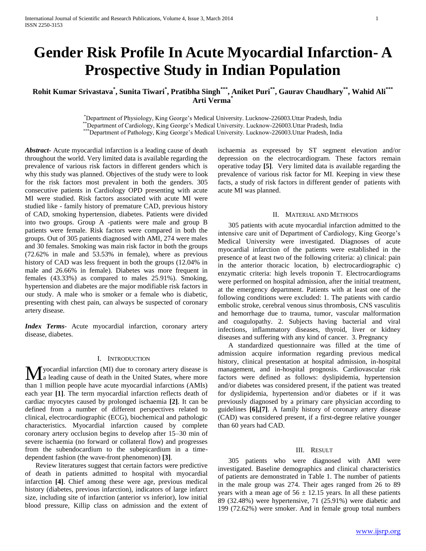# **Gender Risk Profile In Acute Myocardial Infarction- A Prospective Study in Indian Population**

# **Rohit Kumar Srivastava\* , Sunita Tiwari\* , Pratibha Singh\*\*\*, Aniket Puri\*\*, Gaurav Chaudhary\*\*, Wahid Ali\*\*\* Arti Verma\***

\*Department of Physiology, King George's Medical University. Lucknow-226003.Uttar Pradesh, India \*\*Department of Cardiology, King George's Medical University. Lucknow-226003.Uttar Pradesh, India \*\*\*Department of Pathology, King George's Medical University. Lucknow-226003.Uttar Pradesh, India

*Abstract***-** Acute myocardial infarction is a leading cause of death throughout the world. Very limited data is available regarding the prevalence of various risk factors in different genders which is why this study was planned. Objectives of the study were to look for the risk factors most prevalent in both the genders. 305 consecutive patients in Cardiology OPD presenting with acute MI were studied. Risk factors associated with acute MI were studied like - family history of premature CAD, previous history of CAD, smoking hypertension, diabetes. Patients were divided into two groups. Group A -patients were male and group B patients were female. Risk factors were compared in both the groups. Out of 305 patients diagnosed with AMI, 274 were males and 30 females. Smoking was main risk factor in both the groups (72.62% in male and 53.53% in female), where as previous history of CAD was less frequent in both the groups (12.04% in male and 26.66% in female). Diabetes was more frequent in females (43.33%) as compared to males 25.91%). Smoking, hypertension and diabetes are the major modifiable risk factors in our study. A male who is smoker or a female who is diabetic, presenting with chest pain, can always be suspected of coronary artery disease.

*Index Terms*- Acute myocardial infarction, coronary artery disease, diabetes.

# I. INTRODUCTION

yocardial infarction (MI) due to coronary artery disease is **M** yocardial infarction (MI) due to coronary artery disease is<br>a leading cause of death in the United States, where more than 1 million people have acute myocardial infarctions (AMIs) each year **[1]**. The term myocardial infarction reflects death of cardiac myocytes caused by prolonged ischaemia **[2]**. It can be defined from a number of different perspectives related to clinical, electrocardiographic (ECG), biochemical and pathologic characteristics. Myocardial infarction caused by complete coronary artery occlusion begins to develop after 15–30 min of severe ischaemia (no forward or collateral flow) and progresses from the subendocardium to the subepicardium in a timedependent fashion (the wave-front phenomenon) **[3]**.

 Review literatures suggest that certain factors were predictive of death in patients admitted to hospital with myocardial infarction **[4]**. Chief among these were age, previous medical history (diabetes, previous infarction), indicators of large infarct size, including site of infarction (anterior vs inferior), low initial blood pressure, Killip class on admission and the extent of ischaemia as expressed by ST segment elevation and/or depression on the electrocardiogram. These factors remain operative today **[5]**. Very limited data is available regarding the prevalence of various risk factor for MI. Keeping in view these facts, a study of risk factors in different gender of patients with acute MI was planned.

## II. MATERIAL AND METHODS

 305 patients with acute myocardial infarction admitted to the intensive care unit of Department of Cardiology, King George's Medical University were investigated. Diagnoses of acute myocardial infarction of the patients were established in the presence of at least two of the following criteria: a) clinical: pain in the anterior thoracic location, b) electrocardiographic c) enzymatic criteria: high levels troponin T. Electrocardiograms were performed on hospital admission, after the initial treatment, at the emergency department. Patients with at least one of the following conditions were excluded: 1. The patients with cardio embolic stroke, cerebral venous sinus thrombosis, CNS vasculitis and hemorrhage due to trauma, tumor, vascular malformation and coagulopathy. 2. Subjects having bacterial and viral infections, inflammatory diseases, thyroid, liver or kidney diseases and suffering with any kind of cancer. 3. Pregnancy

 A standardized questionnaire was filled at the time of admission acquire information regarding previous medical history, clinical presentation at hospital admission, in-hospital management, and in-hospital prognosis. Cardiovascular risk factors were defined as follows: dyslipidemia, hypertension and/or diabetes was considered present, if the patient was treated for dyslipidemia, hypertension and/or diabetes or if it was previously diagnosed by a primary care physician according to guidelines **[6],[7]**. A family history of coronary artery disease (CAD) was considered present, if a first-degree relative younger than 60 years had CAD.

#### III. RESULT

 305 patients who were diagnosed with AMI were investigated. Baseline demographics and clinical characteristics of patients are demonstrated in Table 1. The number of patients in the male group was 274. Their ages ranged from 26 to 89 years with a mean age of  $56 \pm 12.15$  years. In all these patients 89 (32.48%) were hypertensive, 71 (25.91%) were diabetic and 199 (72.62%) were smoker. And in female group total numbers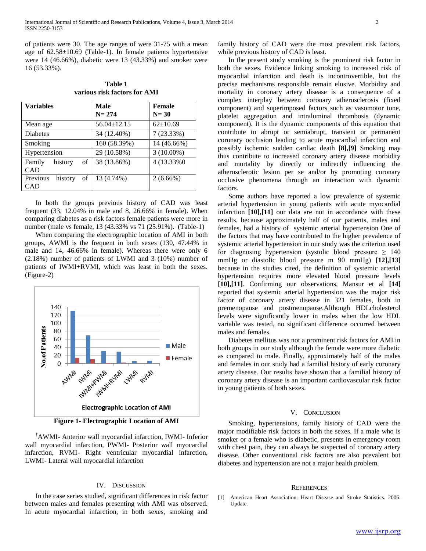of patients were 30. The age ranges of were 31-75 with a mean age of 62.58±10.69 (Table-1). In female patients hypertensive were 14 (46.66%), diabetic were 13 (43.33%) and smoker were 16 (53.33%).

**Table 1 various risk factors for AMI**

| <b>Variables</b>                 | <b>Male</b><br>$N = 274$ | Female<br>$N = 30$ |
|----------------------------------|--------------------------|--------------------|
| Mean age                         | $56.04 \pm 12.15$        | $62{\pm}10.69$     |
| <b>Diabetes</b>                  | 34 (12.40%)              | 7(23.33%)          |
| Smoking                          | 160 (58.39%)             | 14 (46.66%)        |
| Hypertension                     | 29 (10.58%)              | $3(10.00\%)$       |
| of<br>Family<br>history<br>CAD   | 38 (13.86%)              | 4 (13.33%0)        |
| Previous<br>of<br>history<br>CAD | 13 (4.74%)               | $2(6.66\%)$        |

 In both the groups previous history of CAD was least frequent (33, 12.04% in male and 8, 26.66% in female). When comparing diabetes as a risk factors female patients were more in number (male vs female, 13 (43.33% vs 71 (25.91%). (Table-1)

 When comparing the electrographic location of AMI in both groups, AWMI is the frequent in both sexes (130, 47.44% in male and 14, 46.66% in female). Whereas there were only 6 (2.18%) number of patients of LWMI and 3 (10%) number of patients of IWMI+RVMI, which was least in both the sexes. (Figure-2)



**Figure 1- Electrographic Location of AMI**

**†**AWMI- Anterior wall myocardial infarction, IWMI- Inferior wall myocardial infarction, PWMI- Posterior wall myocardial infarction, RVMI- Right ventricular myocardial infarction, LWMI- Lateral wall myocardial infarction

# IV. DISCUSSION

 In the case series studied, significant differences in risk factor between males and females presenting with AMI was observed. In acute myocardial infarction, in both sexes, smoking and

family history of CAD were the most prevalent risk factors, while previous history of CAD is least.

 In the present study smoking is the prominent risk factor in both the sexes. Evidence linking smoking to increased risk of myocardial infarction and death is incontrovertible, but the precise mechanisms responsible remain elusive. Morbidity and mortality in coronary artery disease is a consequence of a complex interplay between coronary atherosclerosis (fixed component) and superimposed factors such as vasomotor tone, platelet aggregation and intraluminal thrombosis (dynamic component). It is the dynamic components of this equation that contribute to abrupt or semiabrupt, transient or permanent coronary occlusion leading to acute myocardial infarction and possibly ischemic sudden cardiac death **[8],[9]** Smoking may thus contribute to increased coronary artery disease morbidity and mortality by directly or indirectly influencing the atherosclerotic lesion per se and/or by promoting coronary occlusive phenomena through an interaction with dynamic factors.

 Some authors have reported a low prevalence of systemic arterial hypertension in young patients with acute myocardial infarction **[10],[11]** our data are not in accordance with these results, because approximately half of our patients, males and females, had a history of systemic arterial hypertension One of the factors that may have contributed to the higher prevalence of systemic arterial hypertension in our study was the criterion used for diagnosing hypertension (systolic blood pressure  $\geq 140$ mmHg or diastolic blood pressure m 90 mmHg) **[12],[13]** because in the studies cited, the definition of systemic arterial hypertension requires more elevated blood pressure levels **[10],[11]**. Confirming our observations, Mansur et al **[14]** reported that systemic arterial hypertension was the major risk factor of coronary artery disease in 321 females, both in premenopause and postmenopause.Although HDLcholesterol levels were significantly lower in males when the low HDL variable was tested, no significant difference occurred between males and females.

 Diabetes mellitus was not a prominent risk factors for AMI in both groups in our study although the female were more diabetic as compared to male. Finally, approximately half of the males and females in our study had a familial history of early coronary artery disease. Our results have shown that a familial history of coronary artery disease is an important cardiovascular risk factor in young patients of both sexes.

#### V. CONCLUSION

 Smoking, hypertensions, family history of CAD were the major modifiable risk factors in both the sexes. If a male who is smoker or a female who is diabetic, presents in emergency room with chest pain, they can always be suspected of coronary artery disease. Other conventional risk factors are also prevalent but diabetes and hypertension are not a major health problem.

#### **REFERENCES**

[1] American Heart Association: Heart Disease and Stroke Statistics. 2006. Update.